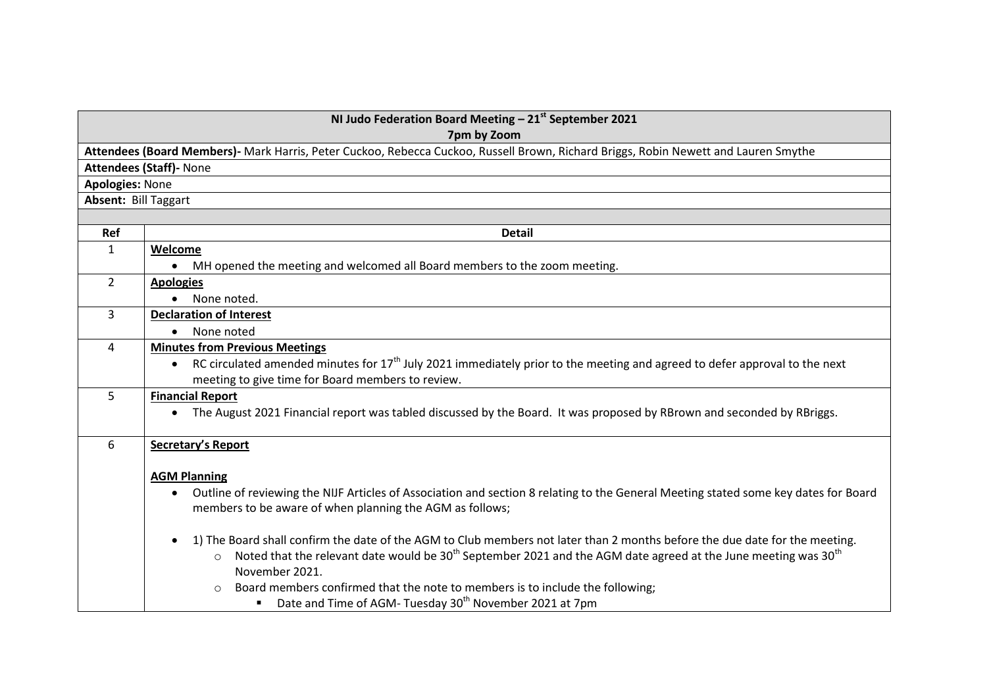| NI Judo Federation Board Meeting $-21st$ September 2021<br>7pm by Zoom |                                                                                                                                                   |  |
|------------------------------------------------------------------------|---------------------------------------------------------------------------------------------------------------------------------------------------|--|
|                                                                        | Attendees (Board Members)- Mark Harris, Peter Cuckoo, Rebecca Cuckoo, Russell Brown, Richard Briggs, Robin Newett and Lauren Smythe               |  |
|                                                                        | <b>Attendees (Staff)- None</b>                                                                                                                    |  |
| <b>Apologies: None</b>                                                 |                                                                                                                                                   |  |
| Absent: Bill Taggart                                                   |                                                                                                                                                   |  |
|                                                                        |                                                                                                                                                   |  |
| Ref                                                                    | <b>Detail</b>                                                                                                                                     |  |
| $\mathbf{1}$                                                           | Welcome                                                                                                                                           |  |
|                                                                        | MH opened the meeting and welcomed all Board members to the zoom meeting.<br>$\bullet$                                                            |  |
| $\overline{2}$                                                         | <b>Apologies</b>                                                                                                                                  |  |
|                                                                        | None noted.                                                                                                                                       |  |
| $\overline{3}$                                                         | <b>Declaration of Interest</b>                                                                                                                    |  |
|                                                                        | None noted                                                                                                                                        |  |
| 4                                                                      | <b>Minutes from Previous Meetings</b>                                                                                                             |  |
|                                                                        | RC circulated amended minutes for $17th$ July 2021 immediately prior to the meeting and agreed to defer approval to the next<br>$\bullet$         |  |
|                                                                        | meeting to give time for Board members to review.                                                                                                 |  |
| 5                                                                      | <b>Financial Report</b>                                                                                                                           |  |
|                                                                        | The August 2021 Financial report was tabled discussed by the Board. It was proposed by RBrown and seconded by RBriggs.                            |  |
| 6                                                                      | <b>Secretary's Report</b>                                                                                                                         |  |
|                                                                        | <b>AGM Planning</b>                                                                                                                               |  |
|                                                                        | Outline of reviewing the NIJF Articles of Association and section 8 relating to the General Meeting stated some key dates for Board               |  |
|                                                                        | members to be aware of when planning the AGM as follows;                                                                                          |  |
|                                                                        | 1) The Board shall confirm the date of the AGM to Club members not later than 2 months before the due date for the meeting.                       |  |
|                                                                        | Noted that the relevant date would be 30 <sup>th</sup> September 2021 and the AGM date agreed at the June meeting was 30 <sup>th</sup><br>$\circ$ |  |
|                                                                        | November 2021.                                                                                                                                    |  |
|                                                                        | Board members confirmed that the note to members is to include the following;<br>$\bigcirc$                                                       |  |
|                                                                        | Date and Time of AGM-Tuesday 30 <sup>th</sup> November 2021 at 7pm                                                                                |  |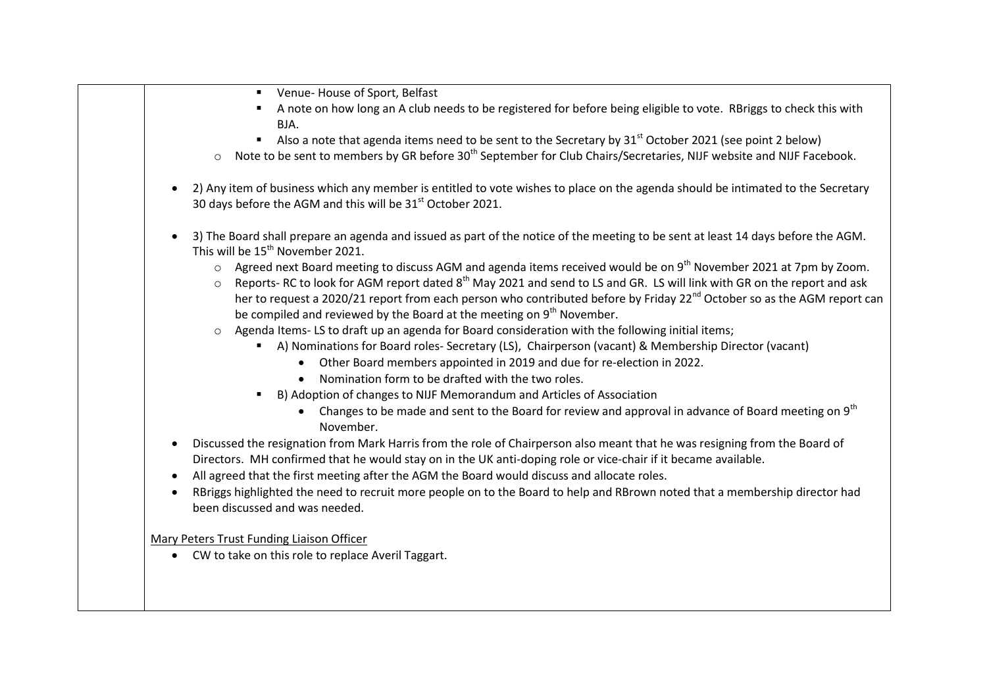| Venue-House of Sport, Belfast<br>$\blacksquare$                                                                                                                                                           |
|-----------------------------------------------------------------------------------------------------------------------------------------------------------------------------------------------------------|
| A note on how long an A club needs to be registered for before being eligible to vote. RBriggs to check this with                                                                                         |
| BJA.                                                                                                                                                                                                      |
| Also a note that agenda items need to be sent to the Secretary by $31st$ October 2021 (see point 2 below)                                                                                                 |
| Note to be sent to members by GR before 30 <sup>th</sup> September for Club Chairs/Secretaries, NIJF website and NIJF Facebook.<br>$\circ$                                                                |
| 2) Any item of business which any member is entitled to vote wishes to place on the agenda should be intimated to the Secretary<br>30 days before the AGM and this will be 31 <sup>st</sup> October 2021. |
|                                                                                                                                                                                                           |
| 3) The Board shall prepare an agenda and issued as part of the notice of the meeting to be sent at least 14 days before the AGM.<br>This will be 15 <sup>th</sup> November 2021.                          |
| Agreed next Board meeting to discuss AGM and agenda items received would be on 9 <sup>th</sup> November 2021 at 7pm by Zoom.                                                                              |
| Reports-RC to look for AGM report dated 8 <sup>th</sup> May 2021 and send to LS and GR. LS will link with GR on the report and ask<br>$\circ$                                                             |
| her to request a 2020/21 report from each person who contributed before by Friday 22 <sup>nd</sup> October so as the AGM report can                                                                       |
| be compiled and reviewed by the Board at the meeting on 9 <sup>th</sup> November.                                                                                                                         |
| Agenda Items-LS to draft up an agenda for Board consideration with the following initial items;                                                                                                           |
| A) Nominations for Board roles- Secretary (LS), Chairperson (vacant) & Membership Director (vacant)                                                                                                       |
| Other Board members appointed in 2019 and due for re-election in 2022.                                                                                                                                    |
| Nomination form to be drafted with the two roles.                                                                                                                                                         |
| B) Adoption of changes to NIJF Memorandum and Articles of Association                                                                                                                                     |
| Changes to be made and sent to the Board for review and approval in advance of Board meeting on 9 <sup>th</sup><br>November.                                                                              |
| Discussed the resignation from Mark Harris from the role of Chairperson also meant that he was resigning from the Board of                                                                                |
| Directors. MH confirmed that he would stay on in the UK anti-doping role or vice-chair if it became available.                                                                                            |
| All agreed that the first meeting after the AGM the Board would discuss and allocate roles.                                                                                                               |
| RBriggs highlighted the need to recruit more people on to the Board to help and RBrown noted that a membership director had<br>been discussed and was needed.                                             |
|                                                                                                                                                                                                           |
| Mary Peters Trust Funding Liaison Officer                                                                                                                                                                 |
| CW to take on this role to replace Averil Taggart.                                                                                                                                                        |
|                                                                                                                                                                                                           |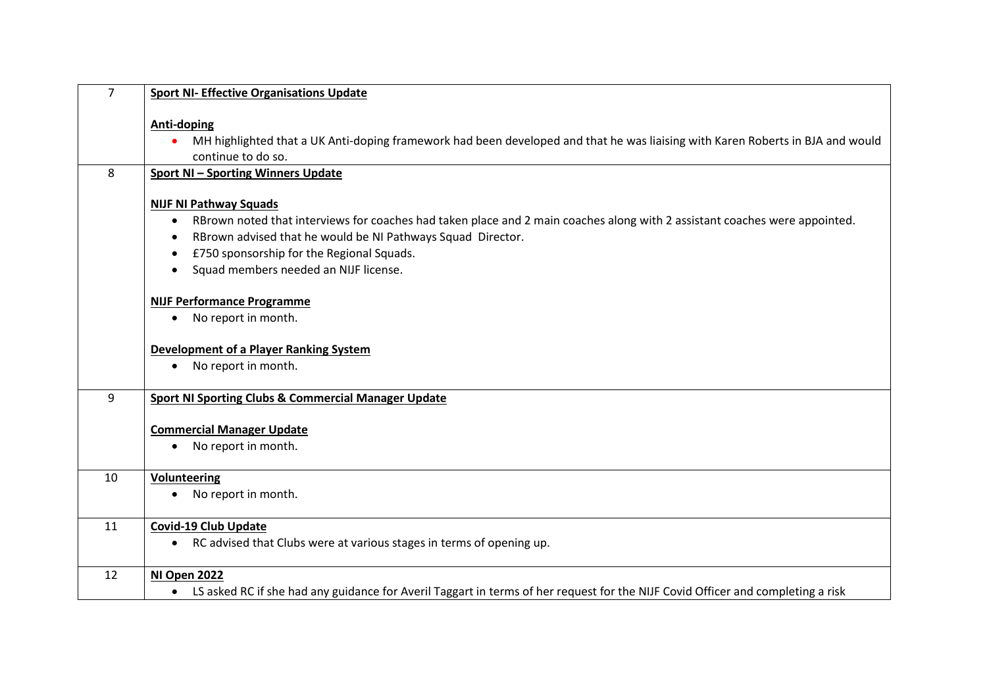| $\overline{7}$ | <b>Sport NI- Effective Organisations Update</b>                                                                                                                            |
|----------------|----------------------------------------------------------------------------------------------------------------------------------------------------------------------------|
|                | <b>Anti-doping</b><br>MH highlighted that a UK Anti-doping framework had been developed and that he was liaising with Karen Roberts in BJA and would<br>continue to do so. |
| 8              |                                                                                                                                                                            |
|                | <b>Sport NI-Sporting Winners Update</b>                                                                                                                                    |
|                | <b>NIJF NI Pathway Squads</b>                                                                                                                                              |
|                | • RBrown noted that interviews for coaches had taken place and 2 main coaches along with 2 assistant coaches were appointed.                                               |
|                | RBrown advised that he would be NI Pathways Squad Director.                                                                                                                |
|                | £750 sponsorship for the Regional Squads.<br>$\bullet$                                                                                                                     |
|                | Squad members needed an NIJF license.<br>$\bullet$                                                                                                                         |
|                | <b>NIJF Performance Programme</b>                                                                                                                                          |
|                | No report in month.<br>$\bullet$                                                                                                                                           |
|                |                                                                                                                                                                            |
|                | <b>Development of a Player Ranking System</b>                                                                                                                              |
|                | • No report in month.                                                                                                                                                      |
|                |                                                                                                                                                                            |
| 9              | <b>Sport NI Sporting Clubs &amp; Commercial Manager Update</b>                                                                                                             |
|                | <b>Commercial Manager Update</b>                                                                                                                                           |
|                | No report in month.<br>$\bullet$                                                                                                                                           |
|                |                                                                                                                                                                            |
| 10             | <b>Volunteering</b>                                                                                                                                                        |
|                | No report in month.<br>$\bullet$                                                                                                                                           |
|                |                                                                                                                                                                            |
| 11             | <b>Covid-19 Club Update</b>                                                                                                                                                |
|                | • RC advised that Clubs were at various stages in terms of opening up.                                                                                                     |
| 12             | NI Open 2022                                                                                                                                                               |
|                |                                                                                                                                                                            |
|                | • LS asked RC if she had any guidance for Averil Taggart in terms of her request for the NIJF Covid Officer and completing a risk                                          |